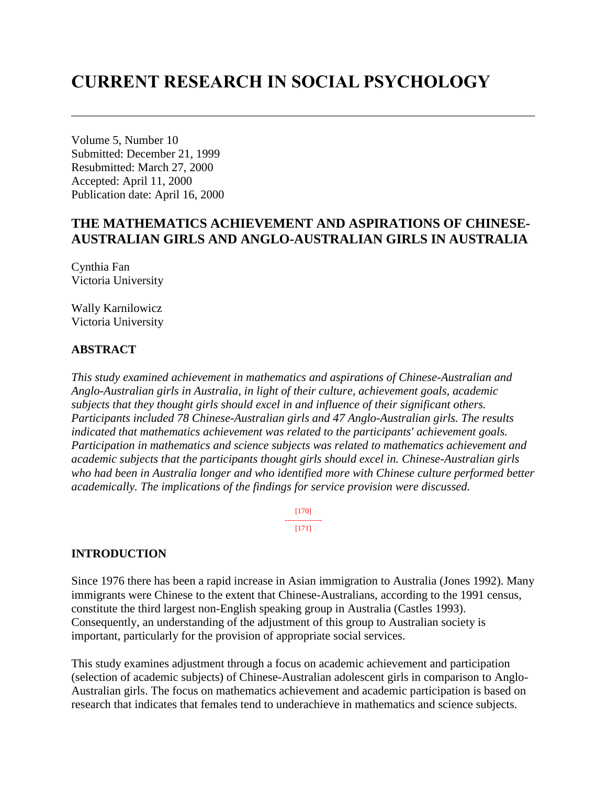# **CURRENT RESEARCH IN SOCIAL PSYCHOLOGY**

Volume 5, Number 10 Submitted: December 21, 1999 Resubmitted: March 27, 2000 Accepted: April 11, 2000 Publication date: April 16, 2000

# **THE MATHEMATICS ACHIEVEMENT AND ASPIRATIONS OF CHINESE-AUSTRALIAN GIRLS AND ANGLO-AUSTRALIAN GIRLS IN AUSTRALIA**

Cynthia Fan Victoria University

Wally Karnilowicz Victoria University

# **ABSTRACT**

*This study examined achievement in mathematics and aspirations of Chinese-Australian and Anglo-Australian girls in Australia, in light of their culture, achievement goals, academic subjects that they thought girls should excel in and influence of their significant others. Participants included 78 Chinese-Australian girls and 47 Anglo-Australian girls. The results indicated that mathematics achievement was related to the participants' achievement goals. Participation in mathematics and science subjects was related to mathematics achievement and academic subjects that the participants thought girls should excel in. Chinese-Australian girls who had been in Australia longer and who identified more with Chinese culture performed better academically. The implications of the findings for service provision were discussed.*

> [170] --------------- [171]

### **INTRODUCTION**

Since 1976 there has been a rapid increase in Asian immigration to Australia (Jones 1992). Many immigrants were Chinese to the extent that Chinese-Australians, according to the 1991 census, constitute the third largest non-English speaking group in Australia (Castles 1993). Consequently, an understanding of the adjustment of this group to Australian society is important, particularly for the provision of appropriate social services.

This study examines adjustment through a focus on academic achievement and participation (selection of academic subjects) of Chinese-Australian adolescent girls in comparison to Anglo-Australian girls. The focus on mathematics achievement and academic participation is based on research that indicates that females tend to underachieve in mathematics and science subjects.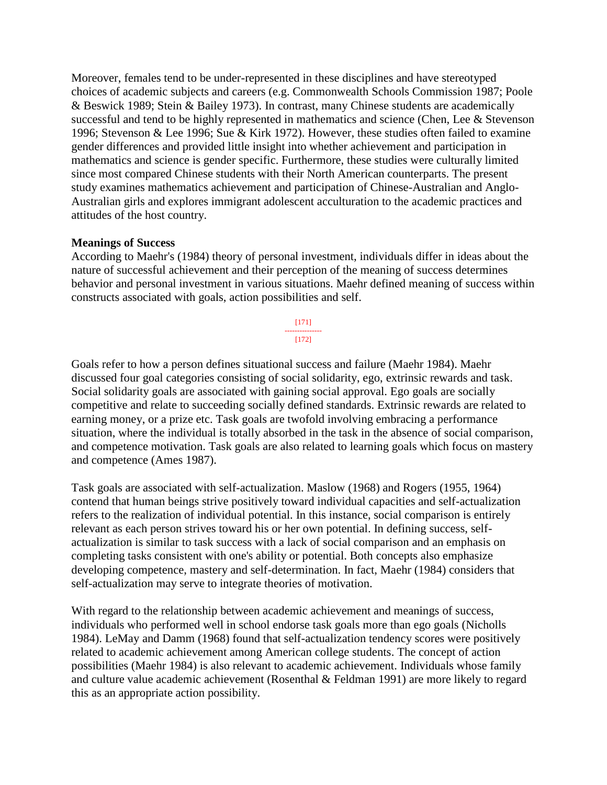Moreover, females tend to be under-represented in these disciplines and have stereotyped choices of academic subjects and careers (e.g. Commonwealth Schools Commission 1987; Poole & Beswick 1989; Stein & Bailey 1973). In contrast, many Chinese students are academically successful and tend to be highly represented in mathematics and science (Chen, Lee & Stevenson 1996; Stevenson & Lee 1996; Sue & Kirk 1972). However, these studies often failed to examine gender differences and provided little insight into whether achievement and participation in mathematics and science is gender specific. Furthermore, these studies were culturally limited since most compared Chinese students with their North American counterparts. The present study examines mathematics achievement and participation of Chinese-Australian and Anglo-Australian girls and explores immigrant adolescent acculturation to the academic practices and attitudes of the host country.

# **Meanings of Success**

According to Maehr's (1984) theory of personal investment, individuals differ in ideas about the nature of successful achievement and their perception of the meaning of success determines behavior and personal investment in various situations. Maehr defined meaning of success within constructs associated with goals, action possibilities and self.

> [171] --------------- [172]

Goals refer to how a person defines situational success and failure (Maehr 1984). Maehr discussed four goal categories consisting of social solidarity, ego, extrinsic rewards and task. Social solidarity goals are associated with gaining social approval. Ego goals are socially competitive and relate to succeeding socially defined standards. Extrinsic rewards are related to earning money, or a prize etc. Task goals are twofold involving embracing a performance situation, where the individual is totally absorbed in the task in the absence of social comparison, and competence motivation. Task goals are also related to learning goals which focus on mastery and competence (Ames 1987).

Task goals are associated with self-actualization. Maslow (1968) and Rogers (1955, 1964) contend that human beings strive positively toward individual capacities and self-actualization refers to the realization of individual potential. In this instance, social comparison is entirely relevant as each person strives toward his or her own potential. In defining success, selfactualization is similar to task success with a lack of social comparison and an emphasis on completing tasks consistent with one's ability or potential. Both concepts also emphasize developing competence, mastery and self-determination. In fact, Maehr (1984) considers that self-actualization may serve to integrate theories of motivation.

With regard to the relationship between academic achievement and meanings of success, individuals who performed well in school endorse task goals more than ego goals (Nicholls 1984). LeMay and Damm (1968) found that self-actualization tendency scores were positively related to academic achievement among American college students. The concept of action possibilities (Maehr 1984) is also relevant to academic achievement. Individuals whose family and culture value academic achievement (Rosenthal & Feldman 1991) are more likely to regard this as an appropriate action possibility.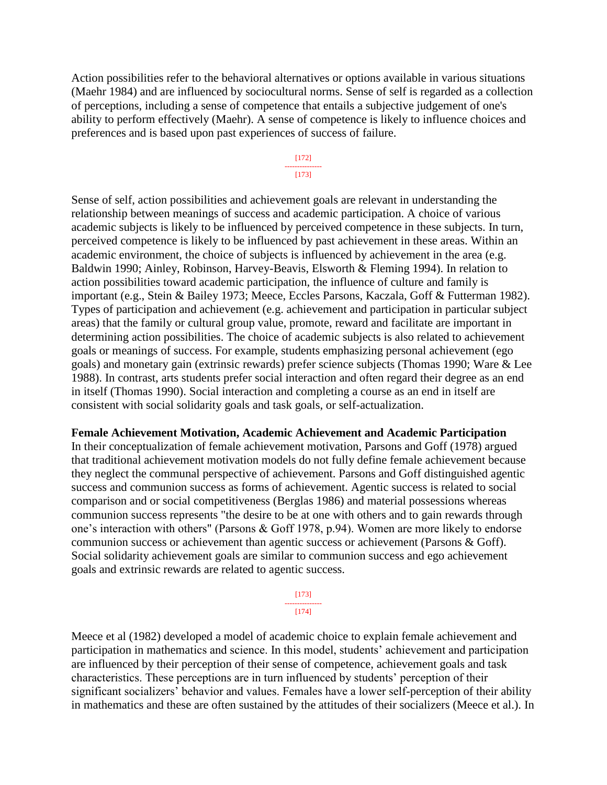Action possibilities refer to the behavioral alternatives or options available in various situations (Maehr 1984) and are influenced by sociocultural norms. Sense of self is regarded as a collection of perceptions, including a sense of competence that entails a subjective judgement of one's ability to perform effectively (Maehr). A sense of competence is likely to influence choices and preferences and is based upon past experiences of success of failure.

#### [172] --------------- [173]

Sense of self, action possibilities and achievement goals are relevant in understanding the relationship between meanings of success and academic participation. A choice of various academic subjects is likely to be influenced by perceived competence in these subjects. In turn, perceived competence is likely to be influenced by past achievement in these areas. Within an academic environment, the choice of subjects is influenced by achievement in the area (e.g. Baldwin 1990; Ainley, Robinson, Harvey-Beavis, Elsworth & Fleming 1994). In relation to action possibilities toward academic participation, the influence of culture and family is important (e.g., Stein & Bailey 1973; Meece, Eccles Parsons, Kaczala, Goff & Futterman 1982). Types of participation and achievement (e.g. achievement and participation in particular subject areas) that the family or cultural group value, promote, reward and facilitate are important in determining action possibilities. The choice of academic subjects is also related to achievement goals or meanings of success. For example, students emphasizing personal achievement (ego goals) and monetary gain (extrinsic rewards) prefer science subjects (Thomas 1990; Ware & Lee 1988). In contrast, arts students prefer social interaction and often regard their degree as an end in itself (Thomas 1990). Social interaction and completing a course as an end in itself are consistent with social solidarity goals and task goals, or self-actualization.

#### **Female Achievement Motivation, Academic Achievement and Academic Participation**

In their conceptualization of female achievement motivation, Parsons and Goff (1978) argued that traditional achievement motivation models do not fully define female achievement because they neglect the communal perspective of achievement. Parsons and Goff distinguished agentic success and communion success as forms of achievement. Agentic success is related to social comparison and or social competitiveness (Berglas 1986) and material possessions whereas communion success represents "the desire to be at one with others and to gain rewards through one's interaction with others" (Parsons & Goff 1978, p.94). Women are more likely to endorse communion success or achievement than agentic success or achievement (Parsons & Goff). Social solidarity achievement goals are similar to communion success and ego achievement goals and extrinsic rewards are related to agentic success.

> [173] --------------- [174]

Meece et al (1982) developed a model of academic choice to explain female achievement and participation in mathematics and science. In this model, students' achievement and participation are influenced by their perception of their sense of competence, achievement goals and task characteristics. These perceptions are in turn influenced by students' perception of their significant socializers' behavior and values. Females have a lower self-perception of their ability in mathematics and these are often sustained by the attitudes of their socializers (Meece et al.). In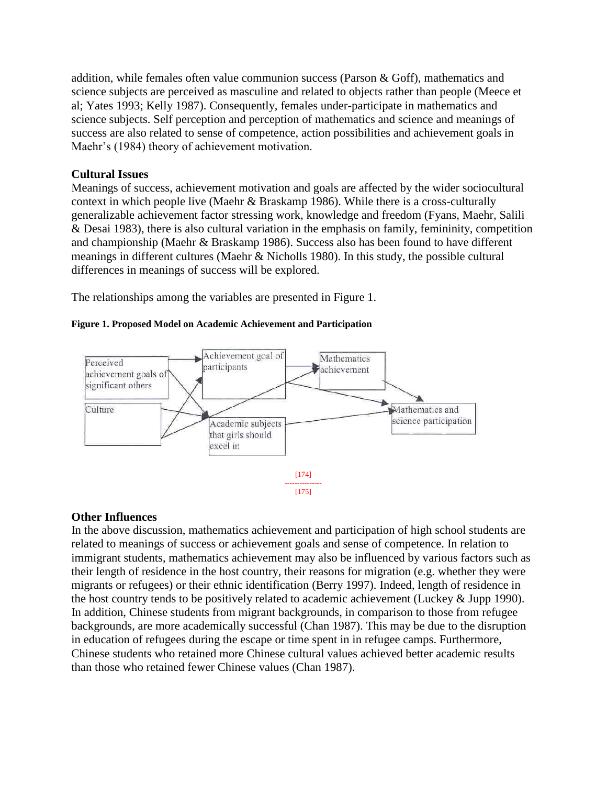addition, while females often value communion success (Parson & Goff), mathematics and science subjects are perceived as masculine and related to objects rather than people (Meece et al; Yates 1993; Kelly 1987). Consequently, females under-participate in mathematics and science subjects. Self perception and perception of mathematics and science and meanings of success are also related to sense of competence, action possibilities and achievement goals in Maehr's (1984) theory of achievement motivation.

# **Cultural Issues**

Meanings of success, achievement motivation and goals are affected by the wider sociocultural context in which people live (Maehr & Braskamp 1986). While there is a cross-culturally generalizable achievement factor stressing work, knowledge and freedom (Fyans, Maehr, Salili & Desai 1983), there is also cultural variation in the emphasis on family, femininity, competition and championship (Maehr & Braskamp 1986). Success also has been found to have different meanings in different cultures (Maehr & Nicholls 1980). In this study, the possible cultural differences in meanings of success will be explored.

The relationships among the variables are presented in Figure 1.

# **Figure 1. Proposed Model on Academic Achievement and Participation**



# **Other Influences**

In the above discussion, mathematics achievement and participation of high school students are related to meanings of success or achievement goals and sense of competence. In relation to immigrant students, mathematics achievement may also be influenced by various factors such as their length of residence in the host country, their reasons for migration (e.g. whether they were migrants or refugees) or their ethnic identification (Berry 1997). Indeed, length of residence in the host country tends to be positively related to academic achievement (Luckey & Jupp 1990). In addition, Chinese students from migrant backgrounds, in comparison to those from refugee backgrounds, are more academically successful (Chan 1987). This may be due to the disruption in education of refugees during the escape or time spent in in refugee camps. Furthermore, Chinese students who retained more Chinese cultural values achieved better academic results than those who retained fewer Chinese values (Chan 1987).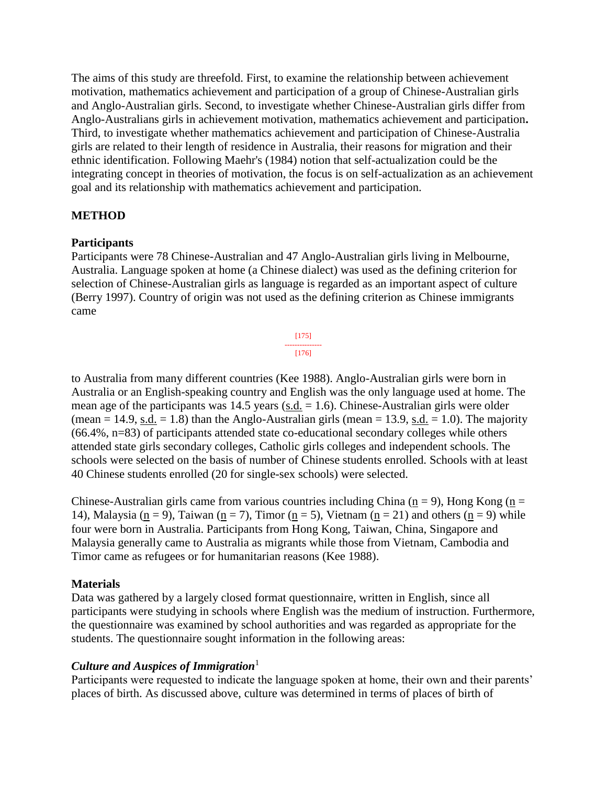The aims of this study are threefold. First, to examine the relationship between achievement motivation, mathematics achievement and participation of a group of Chinese-Australian girls and Anglo-Australian girls. Second, to investigate whether Chinese-Australian girls differ from Anglo-Australians girls in achievement motivation, mathematics achievement and participation**.** Third, to investigate whether mathematics achievement and participation of Chinese-Australia girls are related to their length of residence in Australia, their reasons for migration and their ethnic identification. Following Maehr's (1984) notion that self-actualization could be the integrating concept in theories of motivation, the focus is on self-actualization as an achievement goal and its relationship with mathematics achievement and participation.

# **METHOD**

### **Participants**

Participants were 78 Chinese-Australian and 47 Anglo-Australian girls living in Melbourne, Australia. Language spoken at home (a Chinese dialect) was used as the defining criterion for selection of Chinese-Australian girls as language is regarded as an important aspect of culture (Berry 1997). Country of origin was not used as the defining criterion as Chinese immigrants came

> [175] --------------- [176]

to Australia from many different countries (Kee 1988). Anglo-Australian girls were born in Australia or an English-speaking country and English was the only language used at home. The mean age of the participants was  $14.5$  years (s.d.  $= 1.6$ ). Chinese-Australian girls were older (mean  $= 14.9$ , s.d.  $= 1.8$ ) than the Anglo-Australian girls (mean  $= 13.9$ , s.d.  $= 1.0$ ). The majority (66.4%, n=83) of participants attended state co-educational secondary colleges while others attended state girls secondary colleges, Catholic girls colleges and independent schools. The schools were selected on the basis of number of Chinese students enrolled. Schools with at least 40 Chinese students enrolled (20 for single-sex schools) were selected.

Chinese-Australian girls came from various countries including China ( $n = 9$ ), Hong Kong ( $n =$ 14), Malaysia (n = 9), Taiwan (n = 7), Timor (n = 5), Vietnam (n = 21) and others (n = 9) while four were born in Australia. Participants from Hong Kong, Taiwan, China, Singapore and Malaysia generally came to Australia as migrants while those from Vietnam, Cambodia and Timor came as refugees or for humanitarian reasons (Kee 1988).

### **Materials**

Data was gathered by a largely closed format questionnaire, written in English, since all participants were studying in schools where English was the medium of instruction. Furthermore, the questionnaire was examined by school authorities and was regarded as appropriate for the students. The questionnaire sought information in the following areas:

# *Culture and Auspices of Immigration*<sup>1</sup>

Participants were requested to indicate the language spoken at home, their own and their parents' places of birth. As discussed above, culture was determined in terms of places of birth of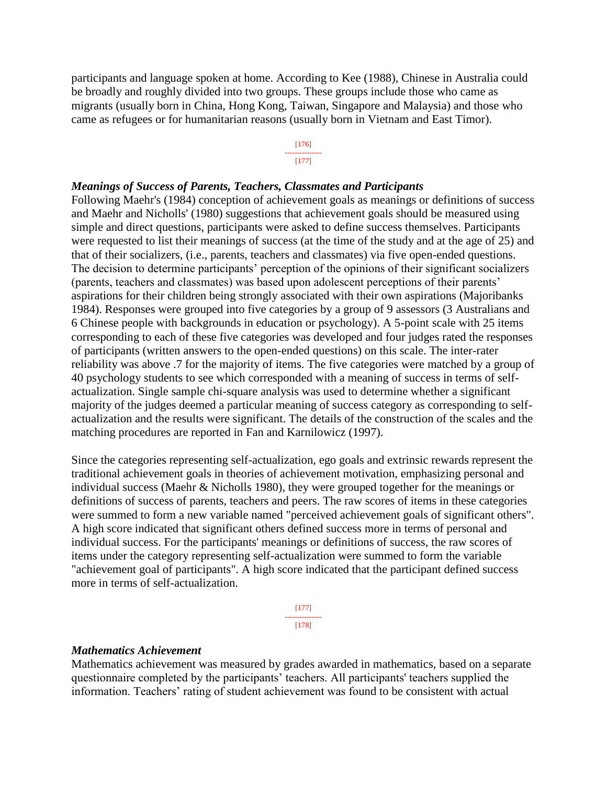participants and language spoken at home. According to Kee (1988), Chinese in Australia could be broadly and roughly divided into two groups. These groups include those who came as migrants (usually born in China, Hong Kong, Taiwan, Singapore and Malaysia) and those who came as refugees or for humanitarian reasons (usually born in Vietnam and East Timor).

#### [176] --------------- [177]

#### *Meanings of Success of Parents, Teachers, Classmates and Participants*

Following Maehr's (1984) conception of achievement goals as meanings or definitions of success and Maehr and Nicholls' (1980) suggestions that achievement goals should be measured using simple and direct questions, participants were asked to define success themselves. Participants were requested to list their meanings of success (at the time of the study and at the age of 25) and that of their socializers, (i.e., parents, teachers and classmates) via five open-ended questions. The decision to determine participants' perception of the opinions of their significant socializers (parents, teachers and classmates) was based upon adolescent perceptions of their parents' aspirations for their children being strongly associated with their own aspirations (Majoribanks 1984). Responses were grouped into five categories by a group of 9 assessors (3 Australians and 6 Chinese people with backgrounds in education or psychology). A 5-point scale with 25 items corresponding to each of these five categories was developed and four judges rated the responses of participants (written answers to the open-ended questions) on this scale. The inter-rater reliability was above .7 for the majority of items. The five categories were matched by a group of 40 psychology students to see which corresponded with a meaning of success in terms of selfactualization. Single sample chi-square analysis was used to determine whether a significant majority of the judges deemed a particular meaning of success category as corresponding to selfactualization and the results were significant. The details of the construction of the scales and the matching procedures are reported in Fan and Karnilowicz (1997).

Since the categories representing self-actualization, ego goals and extrinsic rewards represent the traditional achievement goals in theories of achievement motivation, emphasizing personal and individual success (Maehr & Nicholls 1980), they were grouped together for the meanings or definitions of success of parents, teachers and peers. The raw scores of items in these categories were summed to form a new variable named "perceived achievement goals of significant others". A high score indicated that significant others defined success more in terms of personal and individual success. For the participants' meanings or definitions of success, the raw scores of items under the category representing self-actualization were summed to form the variable "achievement goal of participants". A high score indicated that the participant defined success more in terms of self-actualization.

> [177] --------------- [178]

#### *Mathematics Achievement*

Mathematics achievement was measured by grades awarded in mathematics, based on a separate questionnaire completed by the participants' teachers. All participants' teachers supplied the information. Teachers' rating of student achievement was found to be consistent with actual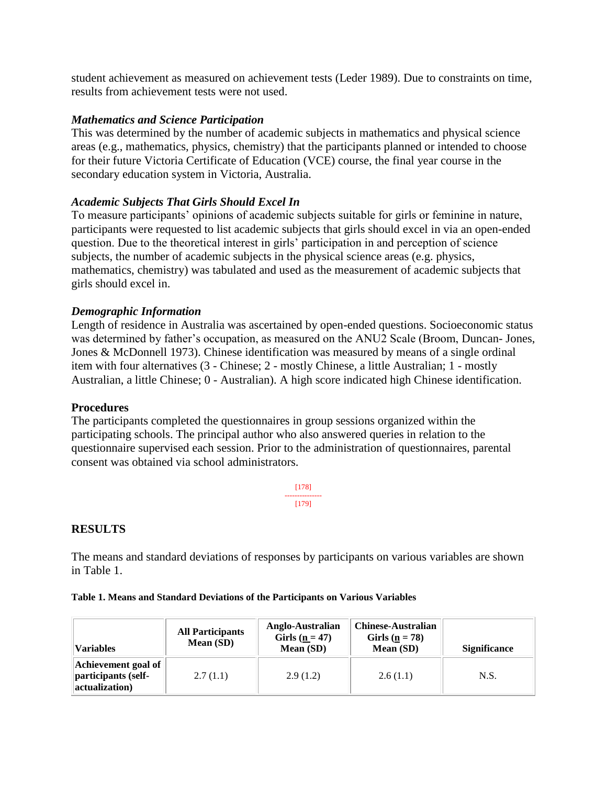student achievement as measured on achievement tests (Leder 1989). Due to constraints on time, results from achievement tests were not used.

# *Mathematics and Science Participation*

This was determined by the number of academic subjects in mathematics and physical science areas (e.g., mathematics, physics, chemistry) that the participants planned or intended to choose for their future Victoria Certificate of Education (VCE) course, the final year course in the secondary education system in Victoria, Australia.

# *Academic Subjects That Girls Should Excel In*

To measure participants' opinions of academic subjects suitable for girls or feminine in nature, participants were requested to list academic subjects that girls should excel in via an open-ended question. Due to the theoretical interest in girls' participation in and perception of science subjects, the number of academic subjects in the physical science areas (e.g. physics, mathematics, chemistry) was tabulated and used as the measurement of academic subjects that girls should excel in.

# *Demographic Information*

Length of residence in Australia was ascertained by open-ended questions. Socioeconomic status was determined by father's occupation, as measured on the ANU2 Scale (Broom, Duncan- Jones, Jones & McDonnell 1973). Chinese identification was measured by means of a single ordinal item with four alternatives (3 - Chinese; 2 - mostly Chinese, a little Australian; 1 - mostly Australian, a little Chinese; 0 - Australian). A high score indicated high Chinese identification.

# **Procedures**

The participants completed the questionnaires in group sessions organized within the participating schools. The principal author who also answered queries in relation to the questionnaire supervised each session. Prior to the administration of questionnaires, parental consent was obtained via school administrators.

> [178] --------------- [179]

# **RESULTS**

The means and standard deviations of responses by participants on various variables are shown in Table 1.

|  |  | Table 1. Means and Standard Deviations of the Participants on Various Variables |  |  |  |
|--|--|---------------------------------------------------------------------------------|--|--|--|
|  |  |                                                                                 |  |  |  |

| <b>All Participants</b>                                      |          | Anglo-Australian   | <b>Chinese-Australian</b> | <b>Significance</b> |  |
|--------------------------------------------------------------|----------|--------------------|---------------------------|---------------------|--|
| Mean (SD)                                                    |          | Girls ( $n = 47$ ) | Girls ( $n = 78$ )        |                     |  |
| <b>Variables</b>                                             |          | Mean (SD)          | Mean (SD)                 |                     |  |
| Achievement goal of<br>participants (self-<br>actualization) | 2.7(1.1) | 2.9(1.2)           | 2.6(1.1)                  | N.S.                |  |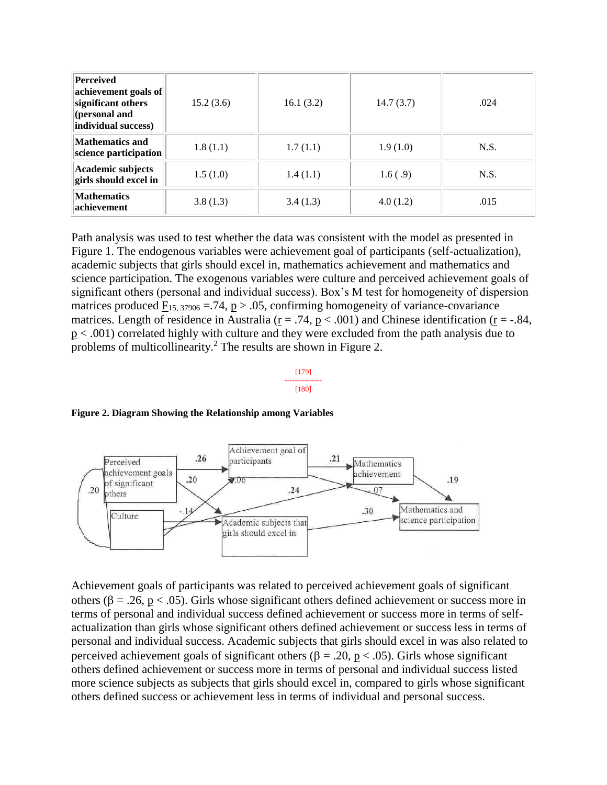| <b>Perceived</b><br>achievement goals of<br>significant others<br>(personal and<br>individual success) | 15.2(3.6) | 16.1(3.2) | 14.7(3.7) | .024 |
|--------------------------------------------------------------------------------------------------------|-----------|-----------|-----------|------|
| <b>Mathematics and</b><br>science participation                                                        | 1.8(1.1)  | 1.7(1.1)  | 1.9(1.0)  | N.S. |
| <b>Academic subjects</b><br>girls should excel in                                                      | 1.5(1.0)  | 1.4(1.1)  | 1.6(.9)   | N.S. |
| <b>Mathematics</b><br>achievement                                                                      | 3.8(1.3)  | 3.4(1.3)  | 4.0(1.2)  | .015 |

Path analysis was used to test whether the data was consistent with the model as presented in Figure 1. The endogenous variables were achievement goal of participants (self-actualization), academic subjects that girls should excel in, mathematics achievement and mathematics and science participation. The exogenous variables were culture and perceived achievement goals of significant others (personal and individual success). Box's M test for homogeneity of dispersion matrices produced  $F_{15, 37906} = 74$ , p > .05, confirming homogeneity of variance-covariance matrices. Length of residence in Australia ( $r = .74$ ,  $p < .001$ ) and Chinese identification ( $r = .84$ , p < .001) correlated highly with culture and they were excluded from the path analysis due to problems of multicollinearity.<sup>2</sup> The results are shown in Figure 2.

#### [179] --------------- [180]

**Figure 2. Diagram Showing the Relationship among Variables**



Achievement goals of participants was related to perceived achievement goals of significant others ( $\beta = .26$ ,  $p < .05$ ). Girls whose significant others defined achievement or success more in terms of personal and individual success defined achievement or success more in terms of selfactualization than girls whose significant others defined achievement or success less in terms of personal and individual success. Academic subjects that girls should excel in was also related to perceived achievement goals of significant others ( $\beta = .20$ ,  $p < .05$ ). Girls whose significant others defined achievement or success more in terms of personal and individual success listed more science subjects as subjects that girls should excel in, compared to girls whose significant others defined success or achievement less in terms of individual and personal success.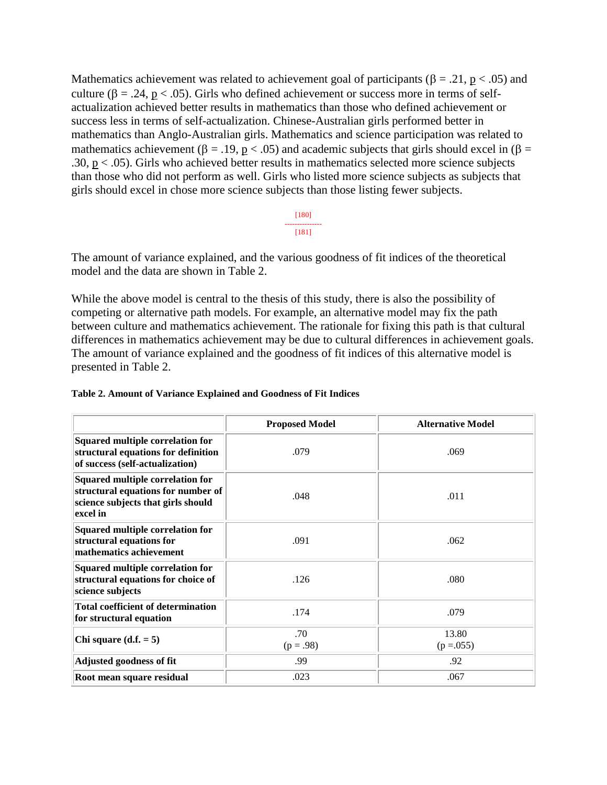Mathematics achievement was related to achievement goal of participants ( $\beta = .21$ ,  $p < .05$ ) and culture ( $\beta = .24$ ,  $p < .05$ ). Girls who defined achievement or success more in terms of selfactualization achieved better results in mathematics than those who defined achievement or success less in terms of self-actualization. Chinese-Australian girls performed better in mathematics than Anglo-Australian girls. Mathematics and science participation was related to mathematics achievement ( $\beta = .19$ ,  $p < .05$ ) and academic subjects that girls should excel in ( $\beta =$ .30,  $p < .05$ ). Girls who achieved better results in mathematics selected more science subjects than those who did not perform as well. Girls who listed more science subjects as subjects that girls should excel in chose more science subjects than those listing fewer subjects.

> [180] --------------- [181]

The amount of variance explained, and the various goodness of fit indices of the theoretical model and the data are shown in Table 2.

While the above model is central to the thesis of this study, there is also the possibility of competing or alternative path models. For example, an alternative model may fix the path between culture and mathematics achievement. The rationale for fixing this path is that cultural differences in mathematics achievement may be due to cultural differences in achievement goals. The amount of variance explained and the goodness of fit indices of this alternative model is presented in Table 2.

|                                                                                                                          | <b>Proposed Model</b> | <b>Alternative Model</b> |
|--------------------------------------------------------------------------------------------------------------------------|-----------------------|--------------------------|
| Squared multiple correlation for<br>structural equations for definition<br>of success (self-actualization)               | .079                  | .069                     |
| Squared multiple correlation for<br>structural equations for number of<br>science subjects that girls should<br>excel in | .048                  | .011                     |
| Squared multiple correlation for<br>structural equations for<br>mathematics achievement                                  | .091                  | .062                     |
| Squared multiple correlation for<br>structural equations for choice of<br>science subjects                               | .126                  | .080                     |
| <b>Total coefficient of determination</b><br>for structural equation                                                     | .174                  | .079                     |
| Chi square $(d.f. = 5)$                                                                                                  | .70<br>$(p=.98)$      | 13.80<br>$(p=.055)$      |
| Adjusted goodness of fit                                                                                                 | .99                   | .92                      |
| Root mean square residual                                                                                                | .023                  | .067                     |

| Table 2. Amount of Variance Explained and Goodness of Fit Indices |  |  |  |
|-------------------------------------------------------------------|--|--|--|
|                                                                   |  |  |  |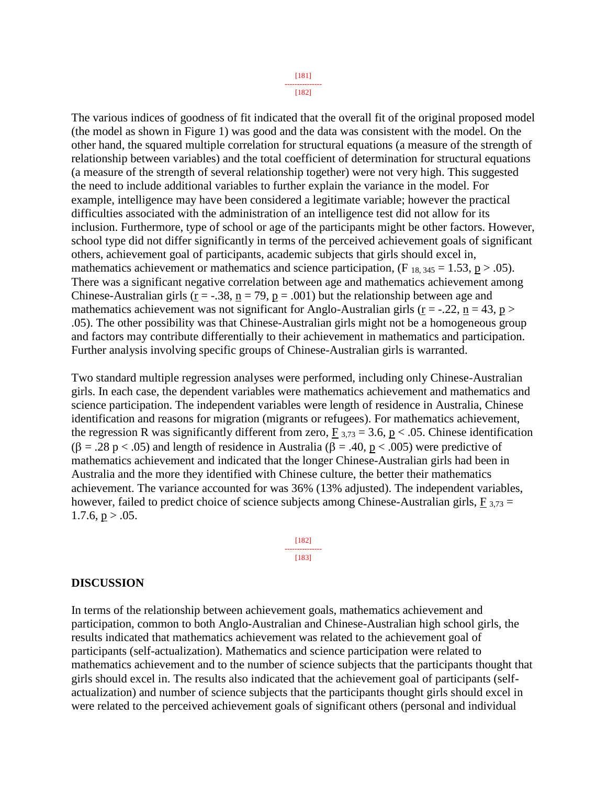[182]

The various indices of goodness of fit indicated that the overall fit of the original proposed model (the model as shown in Figure 1) was good and the data was consistent with the model. On the other hand, the squared multiple correlation for structural equations (a measure of the strength of relationship between variables) and the total coefficient of determination for structural equations (a measure of the strength of several relationship together) were not very high. This suggested the need to include additional variables to further explain the variance in the model. For example, intelligence may have been considered a legitimate variable; however the practical difficulties associated with the administration of an intelligence test did not allow for its inclusion. Furthermore, type of school or age of the participants might be other factors. However, school type did not differ significantly in terms of the perceived achievement goals of significant others, achievement goal of participants, academic subjects that girls should excel in, mathematics achievement or mathematics and science participation,  $(F_{18, 345} = 1.53, p > .05)$ . There was a significant negative correlation between age and mathematics achievement among Chinese-Australian girls ( $r = -.38$ ,  $n = 79$ ,  $p = .001$ ) but the relationship between age and mathematics achievement was not significant for Anglo-Australian girls ( $r = -0.22$ ,  $n = 43$ ,  $p >$ .05). The other possibility was that Chinese-Australian girls might not be a homogeneous group and factors may contribute differentially to their achievement in mathematics and participation. Further analysis involving specific groups of Chinese-Australian girls is warranted.

Two standard multiple regression analyses were performed, including only Chinese-Australian girls. In each case, the dependent variables were mathematics achievement and mathematics and science participation. The independent variables were length of residence in Australia, Chinese identification and reasons for migration (migrants or refugees). For mathematics achievement, the regression R was significantly different from zero,  $F_{3,73} = 3.6$ , p < .05. Chinese identification  $(\beta = .28 \text{ p} < .05)$  and length of residence in Australia ( $\beta = .40$ ,  $p < .005$ ) were predictive of mathematics achievement and indicated that the longer Chinese-Australian girls had been in Australia and the more they identified with Chinese culture, the better their mathematics achievement. The variance accounted for was 36% (13% adjusted). The independent variables, however, failed to predict choice of science subjects among Chinese-Australian girls,  $F_{3,73} =$  $1.7.6$ ,  $p > .05$ .

> [182] --------------- [183]

### **DISCUSSION**

In terms of the relationship between achievement goals, mathematics achievement and participation, common to both Anglo-Australian and Chinese-Australian high school girls, the results indicated that mathematics achievement was related to the achievement goal of participants (self-actualization). Mathematics and science participation were related to mathematics achievement and to the number of science subjects that the participants thought that girls should excel in. The results also indicated that the achievement goal of participants (selfactualization) and number of science subjects that the participants thought girls should excel in were related to the perceived achievement goals of significant others (personal and individual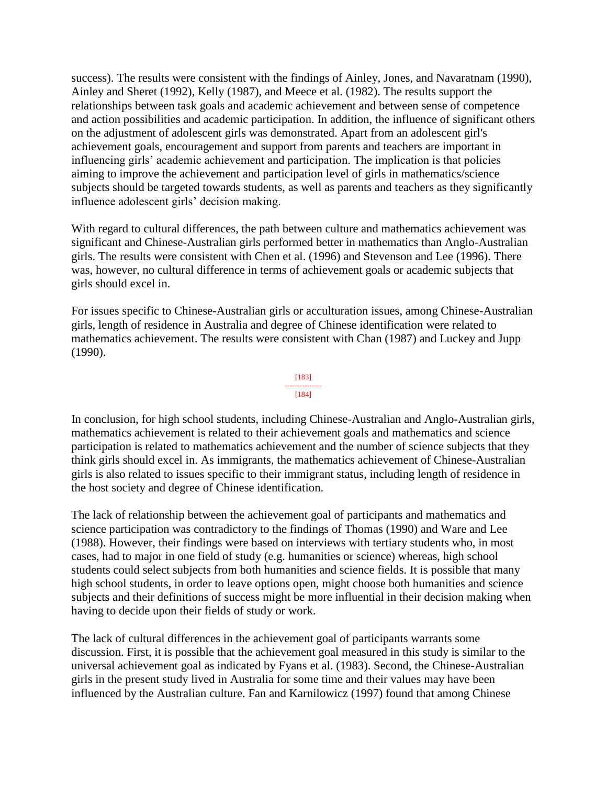success). The results were consistent with the findings of Ainley, Jones, and Navaratnam (1990), Ainley and Sheret (1992), Kelly (1987), and Meece et al. (1982). The results support the relationships between task goals and academic achievement and between sense of competence and action possibilities and academic participation. In addition, the influence of significant others on the adjustment of adolescent girls was demonstrated. Apart from an adolescent girl's achievement goals, encouragement and support from parents and teachers are important in influencing girls' academic achievement and participation. The implication is that policies aiming to improve the achievement and participation level of girls in mathematics/science subjects should be targeted towards students, as well as parents and teachers as they significantly influence adolescent girls' decision making.

With regard to cultural differences, the path between culture and mathematics achievement was significant and Chinese-Australian girls performed better in mathematics than Anglo-Australian girls. The results were consistent with Chen et al. (1996) and Stevenson and Lee (1996). There was, however, no cultural difference in terms of achievement goals or academic subjects that girls should excel in.

For issues specific to Chinese-Australian girls or acculturation issues, among Chinese-Australian girls, length of residence in Australia and degree of Chinese identification were related to mathematics achievement. The results were consistent with Chan (1987) and Luckey and Jupp (1990).

#### [183] --------------- [184]

In conclusion, for high school students, including Chinese-Australian and Anglo-Australian girls, mathematics achievement is related to their achievement goals and mathematics and science participation is related to mathematics achievement and the number of science subjects that they think girls should excel in. As immigrants, the mathematics achievement of Chinese-Australian girls is also related to issues specific to their immigrant status, including length of residence in the host society and degree of Chinese identification.

The lack of relationship between the achievement goal of participants and mathematics and science participation was contradictory to the findings of Thomas (1990) and Ware and Lee (1988). However, their findings were based on interviews with tertiary students who, in most cases, had to major in one field of study (e.g. humanities or science) whereas, high school students could select subjects from both humanities and science fields. It is possible that many high school students, in order to leave options open, might choose both humanities and science subjects and their definitions of success might be more influential in their decision making when having to decide upon their fields of study or work.

The lack of cultural differences in the achievement goal of participants warrants some discussion. First, it is possible that the achievement goal measured in this study is similar to the universal achievement goal as indicated by Fyans et al. (1983). Second, the Chinese-Australian girls in the present study lived in Australia for some time and their values may have been influenced by the Australian culture. Fan and Karnilowicz (1997) found that among Chinese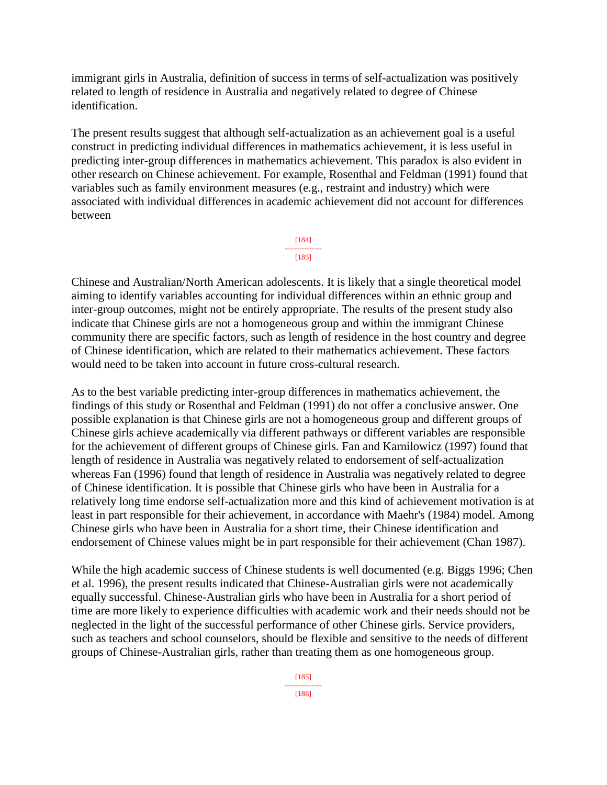immigrant girls in Australia, definition of success in terms of self-actualization was positively related to length of residence in Australia and negatively related to degree of Chinese identification.

The present results suggest that although self-actualization as an achievement goal is a useful construct in predicting individual differences in mathematics achievement, it is less useful in predicting inter-group differences in mathematics achievement. This paradox is also evident in other research on Chinese achievement. For example, Rosenthal and Feldman (1991) found that variables such as family environment measures (e.g., restraint and industry) which were associated with individual differences in academic achievement did not account for differences between



Chinese and Australian/North American adolescents. It is likely that a single theoretical model aiming to identify variables accounting for individual differences within an ethnic group and inter-group outcomes, might not be entirely appropriate. The results of the present study also indicate that Chinese girls are not a homogeneous group and within the immigrant Chinese community there are specific factors, such as length of residence in the host country and degree of Chinese identification, which are related to their mathematics achievement. These factors would need to be taken into account in future cross-cultural research.

As to the best variable predicting inter-group differences in mathematics achievement, the findings of this study or Rosenthal and Feldman (1991) do not offer a conclusive answer. One possible explanation is that Chinese girls are not a homogeneous group and different groups of Chinese girls achieve academically via different pathways or different variables are responsible for the achievement of different groups of Chinese girls. Fan and Karnilowicz (1997) found that length of residence in Australia was negatively related to endorsement of self-actualization whereas Fan (1996) found that length of residence in Australia was negatively related to degree of Chinese identification. It is possible that Chinese girls who have been in Australia for a relatively long time endorse self-actualization more and this kind of achievement motivation is at least in part responsible for their achievement, in accordance with Maehr's (1984) model. Among Chinese girls who have been in Australia for a short time, their Chinese identification and endorsement of Chinese values might be in part responsible for their achievement (Chan 1987).

While the high academic success of Chinese students is well documented (e.g. Biggs 1996; Chen et al. 1996), the present results indicated that Chinese-Australian girls were not academically equally successful. Chinese-Australian girls who have been in Australia for a short period of time are more likely to experience difficulties with academic work and their needs should not be neglected in the light of the successful performance of other Chinese girls. Service providers, such as teachers and school counselors, should be flexible and sensitive to the needs of different groups of Chinese-Australian girls, rather than treating them as one homogeneous group.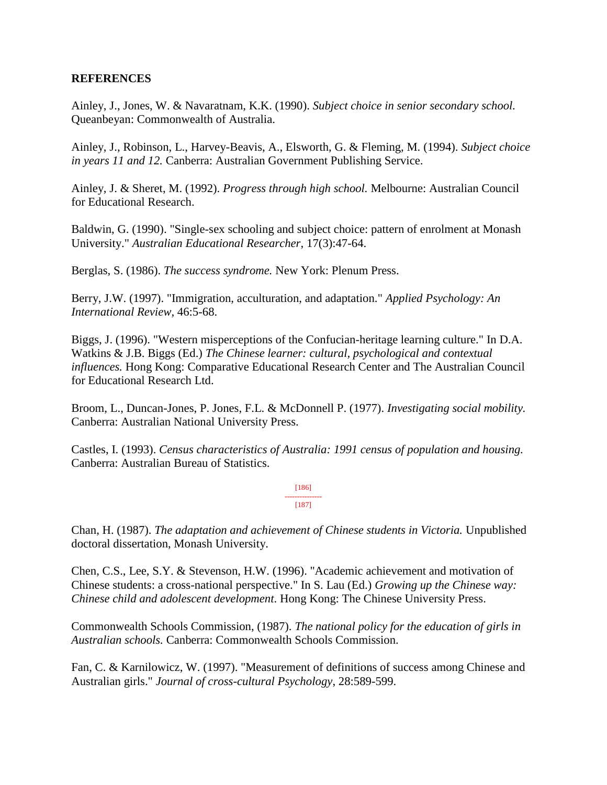# **REFERENCES**

Ainley, J., Jones, W. & Navaratnam, K.K. (1990). *Subject choice in senior secondary school.*  Queanbeyan: Commonwealth of Australia.

Ainley, J., Robinson, L., Harvey-Beavis, A., Elsworth, G. & Fleming, M. (1994). *Subject choice in years 11 and 12.* Canberra: Australian Government Publishing Service.

Ainley, J. & Sheret, M. (1992). *Progress through high school.* Melbourne: Australian Council for Educational Research.

Baldwin, G. (1990). "Single-sex schooling and subject choice: pattern of enrolment at Monash University." *Australian Educational Researcher*, 17(3):47-64.

Berglas, S. (1986). *The success syndrome.* New York: Plenum Press.

Berry, J.W. (1997). "Immigration, acculturation, and adaptation." *Applied Psychology: An International Review,* 46:5-68.

Biggs, J. (1996). "Western misperceptions of the Confucian-heritage learning culture." In D.A. Watkins & J.B. Biggs (Ed.) *The Chinese learner: cultural, psychological and contextual influences.* Hong Kong: Comparative Educational Research Center and The Australian Council for Educational Research Ltd.

Broom, L., Duncan-Jones, P. Jones, F.L. & McDonnell P. (1977). *Investigating social mobility.*  Canberra: Australian National University Press.

Castles, I. (1993). *Census characteristics of Australia: 1991 census of population and housing.*  Canberra: Australian Bureau of Statistics.

> [186] --------------- [187]

Chan, H. (1987). *The adaptation and achievement of Chinese students in Victoria.* Unpublished doctoral dissertation, Monash University.

Chen, C.S., Lee, S.Y. & Stevenson, H.W. (1996). "Academic achievement and motivation of Chinese students: a cross-national perspective." In S. Lau (Ed.) *Growing up the Chinese way: Chinese child and adolescent development*. Hong Kong: The Chinese University Press.

Commonwealth Schools Commission, (1987). *The national policy for the education of girls in Australian schools.* Canberra: Commonwealth Schools Commission.

Fan, C. & Karnilowicz, W. (1997). "Measurement of definitions of success among Chinese and Australian girls." *Journal of cross-cultural Psychology*, 28:589-599.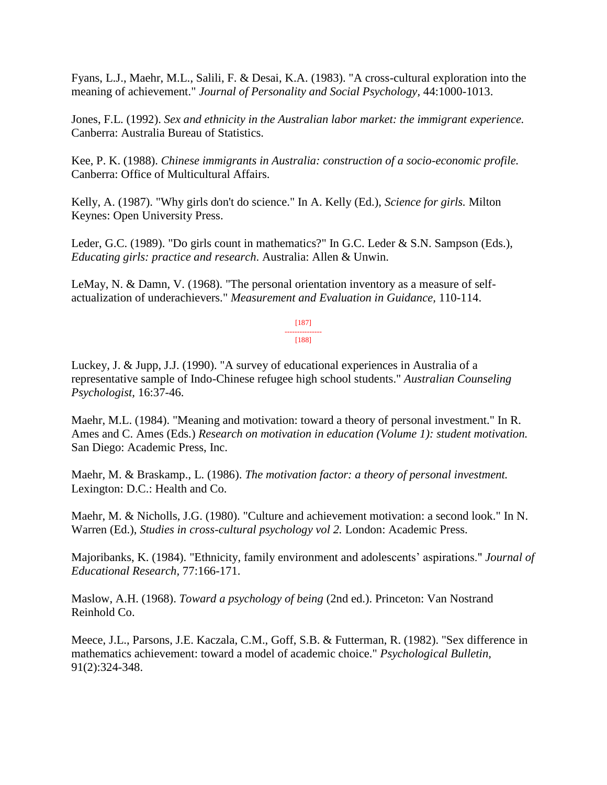Fyans, L.J., Maehr, M.L., Salili, F. & Desai, K.A. (1983). "A cross-cultural exploration into the meaning of achievement." *Journal of Personality and Social Psychology,* 44:1000-1013.

Jones, F.L. (1992). *Sex and ethnicity in the Australian labor market: the immigrant experience.*  Canberra: Australia Bureau of Statistics.

Kee, P. K. (1988). *Chinese immigrants in Australia: construction of a socio-economic profile.*  Canberra: Office of Multicultural Affairs.

Kelly, A. (1987). "Why girls don't do science." In A. Kelly (Ed.), *Science for girls.* Milton Keynes: Open University Press.

Leder, G.C. (1989). "Do girls count in mathematics?" In G.C. Leder & S.N. Sampson (Eds.), *Educating girls: practice and research*. Australia: Allen & Unwin.

LeMay, N. & Damn, V. (1968). "The personal orientation inventory as a measure of selfactualization of underachievers." *Measurement and Evaluation in Guidance,* 110-114.

> [187] --------------- [188]

Luckey, J. & Jupp, J.J. (1990). "A survey of educational experiences in Australia of a representative sample of Indo-Chinese refugee high school students." *Australian Counseling Psychologist,* 16:37-46.

Maehr, M.L. (1984). "Meaning and motivation: toward a theory of personal investment." In R. Ames and C. Ames (Eds.) *Research on motivation in education (Volume 1): student motivation.*  San Diego: Academic Press, Inc.

Maehr, M. & Braskamp., L. (1986). *The motivation factor: a theory of personal investment.*  Lexington: D.C.: Health and Co.

Maehr, M. & Nicholls, J.G. (1980). "Culture and achievement motivation: a second look." In N. Warren (Ed.), *Studies in cross-cultural psychology vol 2.* London: Academic Press.

Majoribanks, K. (1984). "Ethnicity, family environment and adolescents' aspirations." *Journal of Educational Research,* 77:166-171.

Maslow, A.H. (1968). *Toward a psychology of being* (2nd ed.). Princeton: Van Nostrand Reinhold Co.

Meece, J.L., Parsons, J.E. Kaczala, C.M., Goff, S.B. & Futterman, R. (1982). "Sex difference in mathematics achievement: toward a model of academic choice." *Psychological Bulletin,*  91(2):324-348.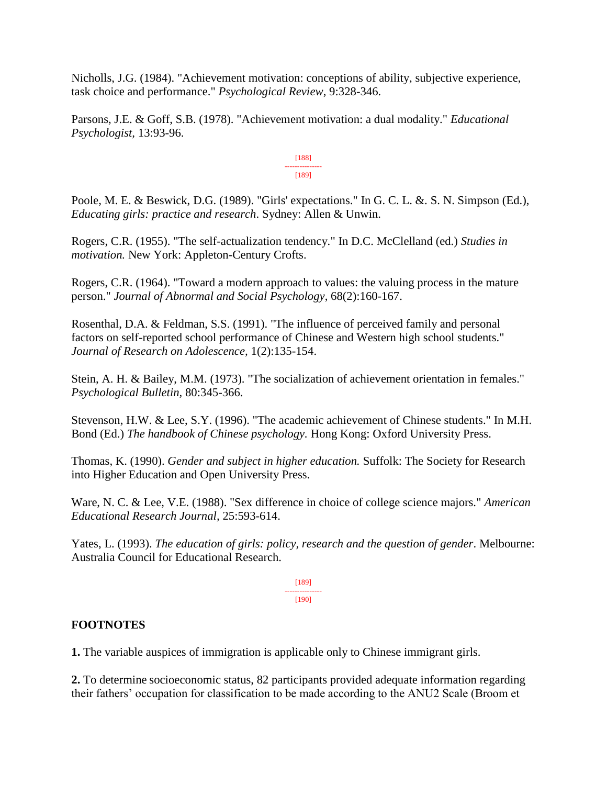Nicholls, J.G. (1984). "Achievement motivation: conceptions of ability, subjective experience, task choice and performance." *Psychological Review*, 9:328-346.

Parsons, J.E. & Goff, S.B. (1978). "Achievement motivation: a dual modality." *Educational Psychologist,* 13:93-96.

> [188] --------------- [189]

Poole, M. E. & Beswick, D.G. (1989). "Girls' expectations." In G. C. L. &. S. N. Simpson (Ed.), *Educating girls: practice and research*. Sydney: Allen & Unwin.

Rogers, C.R. (1955). "The self-actualization tendency." In D.C. McClelland (ed.) *Studies in motivation.* New York: Appleton-Century Crofts.

Rogers, C.R. (1964). "Toward a modern approach to values: the valuing process in the mature person." *Journal of Abnormal and Social Psychology*, 68(2):160-167.

Rosenthal, D.A. & Feldman, S.S. (1991). "The influence of perceived family and personal factors on self-reported school performance of Chinese and Western high school students." *Journal of Research on Adolescence,* 1(2):135-154.

Stein, A. H. & Bailey, M.M. (1973). "The socialization of achievement orientation in females." *Psychological Bulletin,* 80:345-366.

Stevenson, H.W. & Lee, S.Y. (1996). "The academic achievement of Chinese students." In M.H. Bond (Ed.) *The handbook of Chinese psychology.* Hong Kong: Oxford University Press.

Thomas, K. (1990). *Gender and subject in higher education.* Suffolk: The Society for Research into Higher Education and Open University Press.

Ware, N. C. & Lee, V.E. (1988). "Sex difference in choice of college science majors." *American Educational Research Journal,* 25:593-614.

Yates, L. (1993). *The education of girls: policy, research and the question of gender*. Melbourne: Australia Council for Educational Research.

> [189] --------------- [190]

# **FOOTNOTES**

**1.** The variable auspices of immigration is applicable only to Chinese immigrant girls.

**2.** To determine socioeconomic status, 82 participants provided adequate information regarding their fathers' occupation for classification to be made according to the ANU2 Scale (Broom et